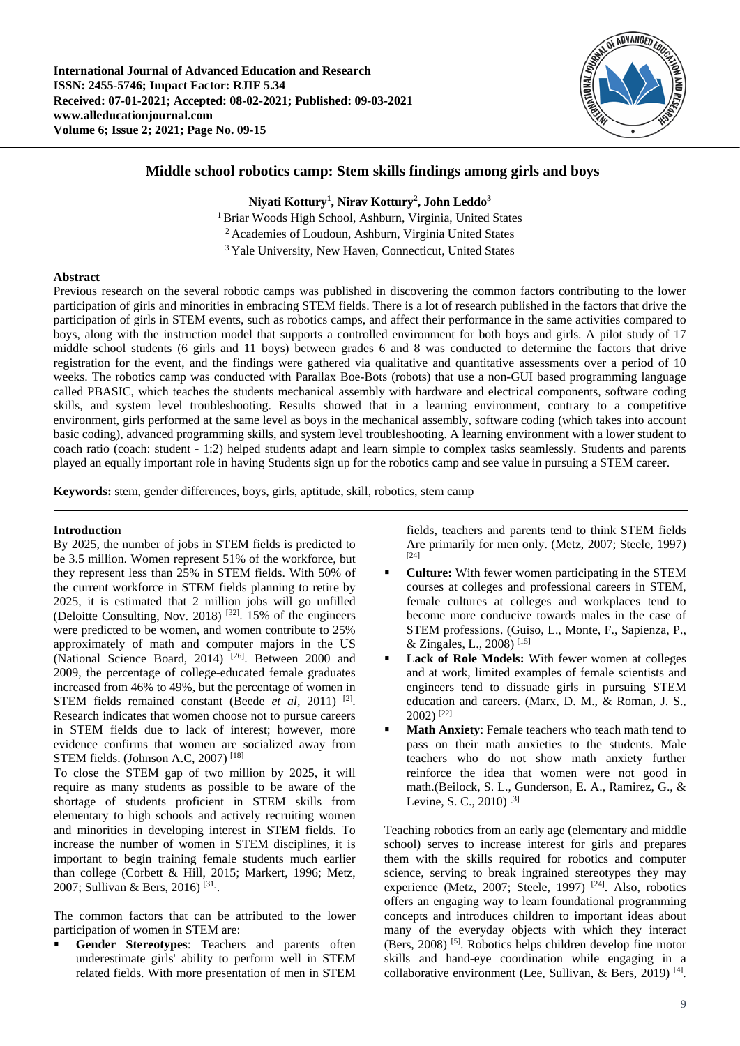

# **Middle school robotics camp: Stem skills findings among girls and boys**

**Niyati Kottury1 , Nirav Kottury2 , John Leddo3**

1 Briar Woods High School, Ashburn, Virginia, United States 2 Academies of Loudoun, Ashburn, Virginia United States <sup>3</sup> Yale University, New Haven, Connecticut, United States

# **Abstract**

Previous research on the several robotic camps was published in discovering the common factors contributing to the lower participation of girls and minorities in embracing STEM fields. There is a lot of research published in the factors that drive the participation of girls in STEM events, such as robotics camps, and affect their performance in the same activities compared to boys, along with the instruction model that supports a controlled environment for both boys and girls. A pilot study of 17 middle school students (6 girls and 11 boys) between grades 6 and 8 was conducted to determine the factors that drive registration for the event, and the findings were gathered via qualitative and quantitative assessments over a period of 10 weeks. The robotics camp was conducted with Parallax Boe-Bots (robots) that use a non-GUI based programming language called PBASIC, which teaches the students mechanical assembly with hardware and electrical components, software coding skills, and system level troubleshooting. Results showed that in a learning environment, contrary to a competitive environment, girls performed at the same level as boys in the mechanical assembly, software coding (which takes into account basic coding), advanced programming skills, and system level troubleshooting. A learning environment with a lower student to coach ratio (coach: student - 1:2) helped students adapt and learn simple to complex tasks seamlessly. Students and parents played an equally important role in having Students sign up for the robotics camp and see value in pursuing a STEM career.

**Keywords:** stem, gender differences, boys, girls, aptitude, skill, robotics, stem camp

# **Introduction**

By 2025, the number of jobs in STEM fields is predicted to be 3.5 million. Women represent 51% of the workforce, but they represent less than 25% in STEM fields. With 50% of the current workforce in STEM fields planning to retire by 2025, it is estimated that 2 million jobs will go unfilled (Deloitte Consulting, Nov. 2018) [32]. 15% of the engineers were predicted to be women, and women contribute to 25% approximately of math and computer majors in the US (National Science Board, 2014) [26]. Between 2000 and 2009, the percentage of college-educated female graduates increased from 46% to 49%, but the percentage of women in STEM fields remained constant (Beede *et al*, 2011) [2]. Research indicates that women choose not to pursue careers in STEM fields due to lack of interest; however, more evidence confirms that women are socialized away from STEM fields. (Johnson A.C, 2007) [18]

To close the STEM gap of two million by 2025, it will require as many students as possible to be aware of the shortage of students proficient in STEM skills from elementary to high schools and actively recruiting women and minorities in developing interest in STEM fields. To increase the number of women in STEM disciplines, it is important to begin training female students much earlier than college (Corbett & Hill, 2015; Markert, 1996; Metz, 2007; Sullivan & Bers, 2016) [31].

The common factors that can be attributed to the lower participation of women in STEM are:

 **Gender Stereotypes**: Teachers and parents often underestimate girls' ability to perform well in STEM related fields. With more presentation of men in STEM fields, teachers and parents tend to think STEM fields Are primarily for men only. (Metz, 2007; Steele, 1997) [24]

- **Culture:** With fewer women participating in the STEM courses at colleges and professional careers in STEM, female cultures at colleges and workplaces tend to become more conducive towards males in the case of STEM professions. (Guiso, L., Monte, F., Sapienza, P., & Zingales, L., 2008)<sup>[15]</sup>
- **Lack of Role Models:** With fewer women at colleges and at work, limited examples of female scientists and engineers tend to dissuade girls in pursuing STEM education and careers. (Marx, D. M., & Roman, J. S., 2002) [22]
- **Math Anxiety**: Female teachers who teach math tend to pass on their math anxieties to the students. Male teachers who do not show math anxiety further reinforce the idea that women were not good in math.(Beilock, S. L., Gunderson, E. A., Ramirez, G., & Levine, S. C., 2010)<sup>[3]</sup>

Teaching robotics from an early age (elementary and middle school) serves to increase interest for girls and prepares them with the skills required for robotics and computer science, serving to break ingrained stereotypes they may experience (Metz, 2007; Steele, 1997)<sup>[24]</sup>. Also, robotics offers an engaging way to learn foundational programming concepts and introduces children to important ideas about many of the everyday objects with which they interact (Bers, 2008) [5]. Robotics helps children develop fine motor skills and hand-eye coordination while engaging in a collaborative environment (Lee, Sullivan, & Bers, 2019) [4].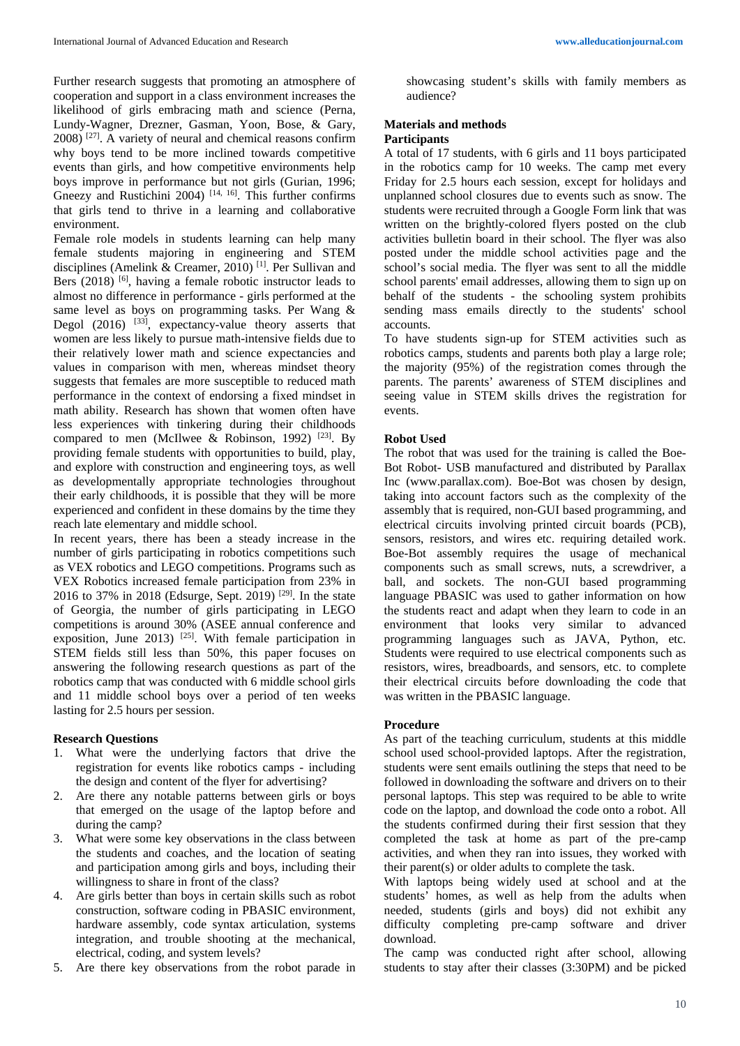Further research suggests that promoting an atmosphere of cooperation and support in a class environment increases the likelihood of girls embracing math and science (Perna, Lundy-Wagner, Drezner, Gasman, Yoon, Bose, & Gary,  $2008$ ) <sup>[27]</sup>. A variety of neural and chemical reasons confirm why boys tend to be more inclined towards competitive events than girls, and how competitive environments help boys improve in performance but not girls (Gurian, 1996; Gneezy and Rustichini 2004)<sup>[14, 16]</sup>. This further confirms that girls tend to thrive in a learning and collaborative environment.

Female role models in students learning can help many female students majoring in engineering and STEM disciplines (Amelink & Creamer, 2010) [1]. Per Sullivan and Bers (2018) <sup>[6]</sup>, having a female robotic instructor leads to almost no difference in performance - girls performed at the same level as boys on programming tasks. Per Wang & Degol  $(2016)$  <sup>[33]</sup>, expectancy-value theory asserts that women are less likely to pursue math-intensive fields due to their relatively lower math and science expectancies and values in comparison with men, whereas mindset theory suggests that females are more susceptible to reduced math performance in the context of endorsing a fixed mindset in math ability. Research has shown that women often have less experiences with tinkering during their childhoods compared to men (McIlwee & Robinson, 1992) <sup>[23]</sup>. By providing female students with opportunities to build, play, and explore with construction and engineering toys, as well as developmentally appropriate technologies throughout their early childhoods, it is possible that they will be more experienced and confident in these domains by the time they reach late elementary and middle school.

In recent years, there has been a steady increase in the number of girls participating in robotics competitions such as VEX robotics and LEGO competitions. Programs such as VEX Robotics increased female participation from 23% in 2016 to 37% in 2018 (Edsurge, Sept. 2019) [29]. In the state of Georgia, the number of girls participating in LEGO competitions is around 30% (ASEE annual conference and exposition, June 2013)  $[25]$ . With female participation in STEM fields still less than 50%, this paper focuses on answering the following research questions as part of the robotics camp that was conducted with 6 middle school girls and 11 middle school boys over a period of ten weeks lasting for 2.5 hours per session.

### **Research Questions**

- 1. What were the underlying factors that drive the registration for events like robotics camps - including the design and content of the flyer for advertising?
- 2. Are there any notable patterns between girls or boys that emerged on the usage of the laptop before and during the camp?
- 3. What were some key observations in the class between the students and coaches, and the location of seating and participation among girls and boys, including their willingness to share in front of the class?
- 4. Are girls better than boys in certain skills such as robot construction, software coding in PBASIC environment, hardware assembly, code syntax articulation, systems integration, and trouble shooting at the mechanical, electrical, coding, and system levels?
- 5. Are there key observations from the robot parade in

showcasing student's skills with family members as audience?

#### **Materials and methods**

### **Participants**

A total of 17 students, with 6 girls and 11 boys participated in the robotics camp for 10 weeks. The camp met every Friday for 2.5 hours each session, except for holidays and unplanned school closures due to events such as snow. The students were recruited through a Google Form link that was written on the brightly-colored flyers posted on the club activities bulletin board in their school. The flyer was also posted under the middle school activities page and the school's social media. The flyer was sent to all the middle school parents' email addresses, allowing them to sign up on behalf of the students - the schooling system prohibits sending mass emails directly to the students' school accounts.

To have students sign-up for STEM activities such as robotics camps, students and parents both play a large role; the majority (95%) of the registration comes through the parents. The parents' awareness of STEM disciplines and seeing value in STEM skills drives the registration for events.

### **Robot Used**

The robot that was used for the training is called the Boe-Bot Robot- USB manufactured and distributed by Parallax Inc (www.parallax.com). Boe-Bot was chosen by design, taking into account factors such as the complexity of the assembly that is required, non-GUI based programming, and electrical circuits involving printed circuit boards (PCB), sensors, resistors, and wires etc. requiring detailed work. Boe-Bot assembly requires the usage of mechanical components such as small screws, nuts, a screwdriver, a ball, and sockets. The non-GUI based programming language PBASIC was used to gather information on how the students react and adapt when they learn to code in an environment that looks very similar to advanced programming languages such as JAVA, Python, etc. Students were required to use electrical components such as resistors, wires, breadboards, and sensors, etc. to complete their electrical circuits before downloading the code that was written in the PBASIC language.

#### **Procedure**

As part of the teaching curriculum, students at this middle school used school-provided laptops. After the registration, students were sent emails outlining the steps that need to be followed in downloading the software and drivers on to their personal laptops. This step was required to be able to write code on the laptop, and download the code onto a robot. All the students confirmed during their first session that they completed the task at home as part of the pre-camp activities, and when they ran into issues, they worked with their parent(s) or older adults to complete the task.

With laptops being widely used at school and at the students' homes, as well as help from the adults when needed, students (girls and boys) did not exhibit any difficulty completing pre-camp software and driver download.

The camp was conducted right after school, allowing students to stay after their classes (3:30PM) and be picked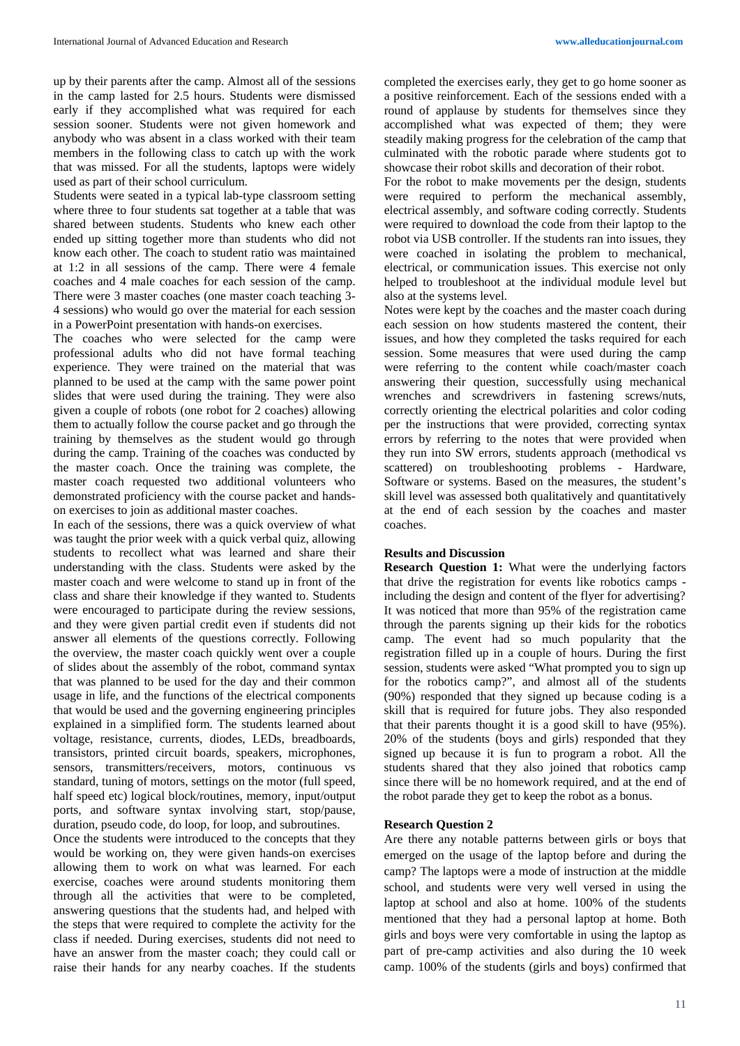up by their parents after the camp. Almost all of the sessions in the camp lasted for 2.5 hours. Students were dismissed early if they accomplished what was required for each session sooner. Students were not given homework and anybody who was absent in a class worked with their team members in the following class to catch up with the work that was missed. For all the students, laptops were widely used as part of their school curriculum.

Students were seated in a typical lab-type classroom setting where three to four students sat together at a table that was shared between students. Students who knew each other ended up sitting together more than students who did not know each other. The coach to student ratio was maintained at 1:2 in all sessions of the camp. There were 4 female coaches and 4 male coaches for each session of the camp. There were 3 master coaches (one master coach teaching 3- 4 sessions) who would go over the material for each session in a PowerPoint presentation with hands-on exercises.

The coaches who were selected for the camp were professional adults who did not have formal teaching experience. They were trained on the material that was planned to be used at the camp with the same power point slides that were used during the training. They were also given a couple of robots (one robot for 2 coaches) allowing them to actually follow the course packet and go through the training by themselves as the student would go through during the camp. Training of the coaches was conducted by the master coach. Once the training was complete, the master coach requested two additional volunteers who demonstrated proficiency with the course packet and handson exercises to join as additional master coaches.

In each of the sessions, there was a quick overview of what was taught the prior week with a quick verbal quiz, allowing students to recollect what was learned and share their understanding with the class. Students were asked by the master coach and were welcome to stand up in front of the class and share their knowledge if they wanted to. Students were encouraged to participate during the review sessions, and they were given partial credit even if students did not answer all elements of the questions correctly. Following the overview, the master coach quickly went over a couple of slides about the assembly of the robot, command syntax that was planned to be used for the day and their common usage in life, and the functions of the electrical components that would be used and the governing engineering principles explained in a simplified form. The students learned about voltage, resistance, currents, diodes, LEDs, breadboards, transistors, printed circuit boards, speakers, microphones, sensors, transmitters/receivers, motors, continuous vs standard, tuning of motors, settings on the motor (full speed, half speed etc) logical block/routines, memory, input/output ports, and software syntax involving start, stop/pause, duration, pseudo code, do loop, for loop, and subroutines.

Once the students were introduced to the concepts that they would be working on, they were given hands-on exercises allowing them to work on what was learned. For each exercise, coaches were around students monitoring them through all the activities that were to be completed, answering questions that the students had, and helped with the steps that were required to complete the activity for the class if needed. During exercises, students did not need to have an answer from the master coach; they could call or raise their hands for any nearby coaches. If the students completed the exercises early, they get to go home sooner as a positive reinforcement. Each of the sessions ended with a round of applause by students for themselves since they accomplished what was expected of them; they were steadily making progress for the celebration of the camp that culminated with the robotic parade where students got to showcase their robot skills and decoration of their robot.

For the robot to make movements per the design, students were required to perform the mechanical assembly, electrical assembly, and software coding correctly. Students were required to download the code from their laptop to the robot via USB controller. If the students ran into issues, they were coached in isolating the problem to mechanical, electrical, or communication issues. This exercise not only helped to troubleshoot at the individual module level but also at the systems level.

Notes were kept by the coaches and the master coach during each session on how students mastered the content, their issues, and how they completed the tasks required for each session. Some measures that were used during the camp were referring to the content while coach/master coach answering their question, successfully using mechanical wrenches and screwdrivers in fastening screws/nuts, correctly orienting the electrical polarities and color coding per the instructions that were provided, correcting syntax errors by referring to the notes that were provided when they run into SW errors, students approach (methodical vs scattered) on troubleshooting problems - Hardware, Software or systems. Based on the measures, the student's skill level was assessed both qualitatively and quantitatively at the end of each session by the coaches and master coaches.

# **Results and Discussion**

**Research Question 1:** What were the underlying factors that drive the registration for events like robotics camps including the design and content of the flyer for advertising? It was noticed that more than 95% of the registration came through the parents signing up their kids for the robotics camp. The event had so much popularity that the registration filled up in a couple of hours. During the first session, students were asked "What prompted you to sign up for the robotics camp?", and almost all of the students (90%) responded that they signed up because coding is a skill that is required for future jobs. They also responded that their parents thought it is a good skill to have (95%). 20% of the students (boys and girls) responded that they signed up because it is fun to program a robot. All the students shared that they also joined that robotics camp since there will be no homework required, and at the end of the robot parade they get to keep the robot as a bonus.

# **Research Question 2**

Are there any notable patterns between girls or boys that emerged on the usage of the laptop before and during the camp? The laptops were a mode of instruction at the middle school, and students were very well versed in using the laptop at school and also at home. 100% of the students mentioned that they had a personal laptop at home. Both girls and boys were very comfortable in using the laptop as part of pre-camp activities and also during the 10 week camp. 100% of the students (girls and boys) confirmed that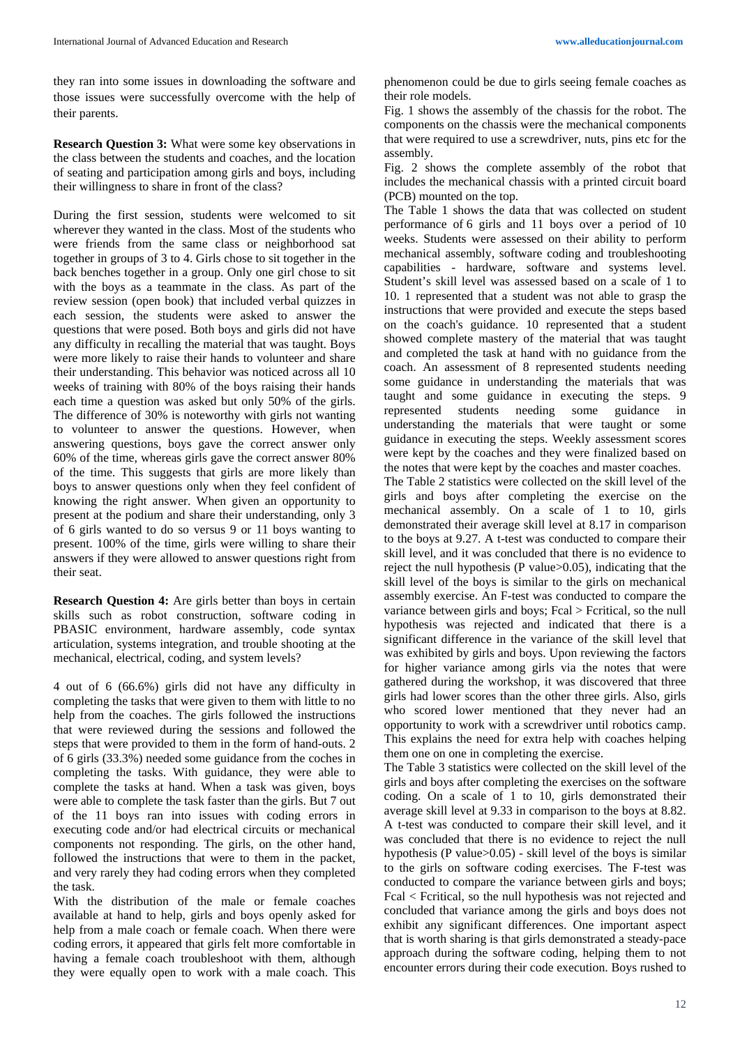**Research Question 3:** What were some key observations in the class between the students and coaches, and the location of seating and participation among girls and boys, including their willingness to share in front of the class?

During the first session, students were welcomed to sit wherever they wanted in the class. Most of the students who were friends from the same class or neighborhood sat together in groups of 3 to 4. Girls chose to sit together in the back benches together in a group. Only one girl chose to sit with the boys as a teammate in the class. As part of the review session (open book) that included verbal quizzes in each session, the students were asked to answer the questions that were posed. Both boys and girls did not have any difficulty in recalling the material that was taught. Boys were more likely to raise their hands to volunteer and share their understanding. This behavior was noticed across all 10 weeks of training with 80% of the boys raising their hands each time a question was asked but only 50% of the girls. The difference of 30% is noteworthy with girls not wanting to volunteer to answer the questions. However, when answering questions, boys gave the correct answer only 60% of the time, whereas girls gave the correct answer 80% of the time. This suggests that girls are more likely than boys to answer questions only when they feel confident of knowing the right answer. When given an opportunity to present at the podium and share their understanding, only 3 of 6 girls wanted to do so versus 9 or 11 boys wanting to present. 100% of the time, girls were willing to share their answers if they were allowed to answer questions right from their seat.

**Research Question 4:** Are girls better than boys in certain skills such as robot construction, software coding in PBASIC environment, hardware assembly, code syntax articulation, systems integration, and trouble shooting at the mechanical, electrical, coding, and system levels?

4 out of 6 (66.6%) girls did not have any difficulty in completing the tasks that were given to them with little to no help from the coaches. The girls followed the instructions that were reviewed during the sessions and followed the steps that were provided to them in the form of hand-outs. 2 of 6 girls (33.3%) needed some guidance from the coches in completing the tasks. With guidance, they were able to complete the tasks at hand. When a task was given, boys were able to complete the task faster than the girls. But 7 out of the 11 boys ran into issues with coding errors in executing code and/or had electrical circuits or mechanical components not responding. The girls, on the other hand, followed the instructions that were to them in the packet, and very rarely they had coding errors when they completed the task.

With the distribution of the male or female coaches available at hand to help, girls and boys openly asked for help from a male coach or female coach. When there were coding errors, it appeared that girls felt more comfortable in having a female coach troubleshoot with them, although they were equally open to work with a male coach. This

phenomenon could be due to girls seeing female coaches as their role models.

Fig. 1 shows the assembly of the chassis for the robot. The components on the chassis were the mechanical components that were required to use a screwdriver, nuts, pins etc for the assembly.

Fig. 2 shows the complete assembly of the robot that includes the mechanical chassis with a printed circuit board (PCB) mounted on the top.

The Table 1 shows the data that was collected on student performance of 6 girls and 11 boys over a period of 10 weeks. Students were assessed on their ability to perform mechanical assembly, software coding and troubleshooting capabilities - hardware, software and systems level. Student's skill level was assessed based on a scale of 1 to 10. 1 represented that a student was not able to grasp the instructions that were provided and execute the steps based on the coach's guidance. 10 represented that a student showed complete mastery of the material that was taught and completed the task at hand with no guidance from the coach. An assessment of 8 represented students needing some guidance in understanding the materials that was taught and some guidance in executing the steps. 9 represented students needing some guidance in understanding the materials that were taught or some guidance in executing the steps. Weekly assessment scores were kept by the coaches and they were finalized based on the notes that were kept by the coaches and master coaches.

The Table 2 statistics were collected on the skill level of the girls and boys after completing the exercise on the mechanical assembly. On a scale of 1 to 10, girls demonstrated their average skill level at 8.17 in comparison to the boys at 9.27. A t-test was conducted to compare their skill level, and it was concluded that there is no evidence to reject the null hypothesis (P value>0.05), indicating that the skill level of the boys is similar to the girls on mechanical assembly exercise. An F-test was conducted to compare the variance between girls and boys; Fcal > Fcritical, so the null hypothesis was rejected and indicated that there is a significant difference in the variance of the skill level that was exhibited by girls and boys. Upon reviewing the factors for higher variance among girls via the notes that were gathered during the workshop, it was discovered that three girls had lower scores than the other three girls. Also, girls who scored lower mentioned that they never had an opportunity to work with a screwdriver until robotics camp. This explains the need for extra help with coaches helping them one on one in completing the exercise.

The Table 3 statistics were collected on the skill level of the girls and boys after completing the exercises on the software coding. On a scale of 1 to 10, girls demonstrated their average skill level at 9.33 in comparison to the boys at 8.82. A t-test was conducted to compare their skill level, and it was concluded that there is no evidence to reject the null hypothesis (P value>0.05) - skill level of the boys is similar to the girls on software coding exercises. The F-test was conducted to compare the variance between girls and boys; Fcal < Fcritical, so the null hypothesis was not rejected and concluded that variance among the girls and boys does not exhibit any significant differences. One important aspect that is worth sharing is that girls demonstrated a steady-pace approach during the software coding, helping them to not encounter errors during their code execution. Boys rushed to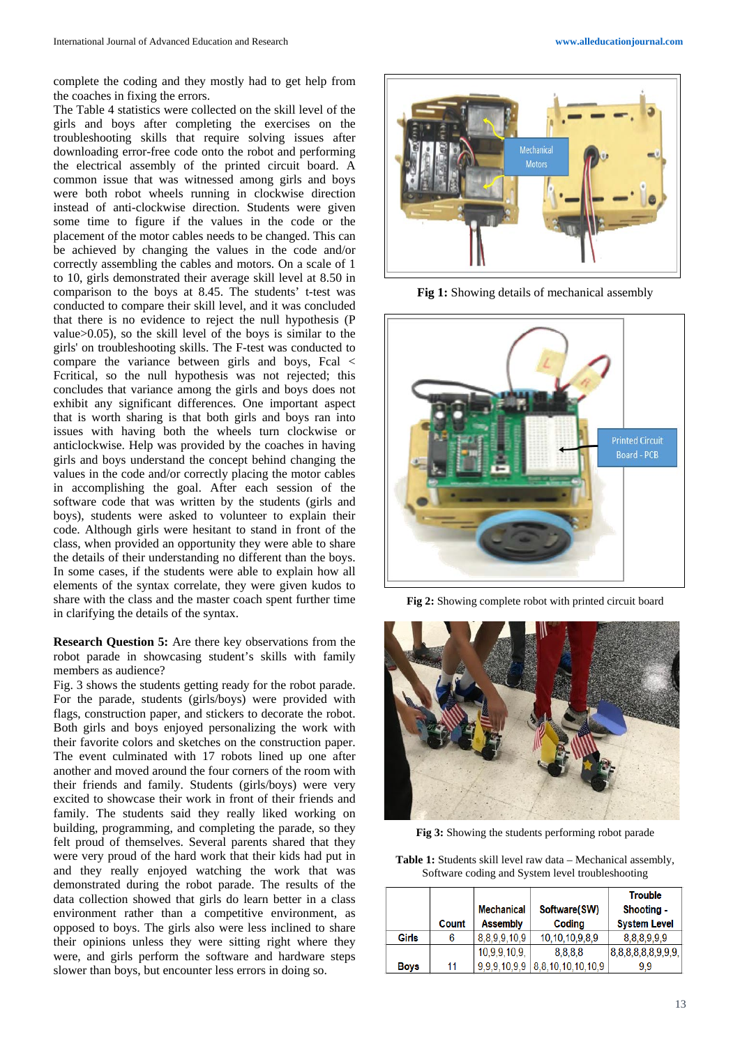The Table 4 statistics were collected on the skill level of the girls and boys after completing the exercises on the troubleshooting skills that require solving issues after downloading error-free code onto the robot and performing the electrical assembly of the printed circuit board. A common issue that was witnessed among girls and boys were both robot wheels running in clockwise direction instead of anti-clockwise direction. Students were given some time to figure if the values in the code or the placement of the motor cables needs to be changed. This can be achieved by changing the values in the code and/or correctly assembling the cables and motors. On a scale of 1 to 10, girls demonstrated their average skill level at 8.50 in comparison to the boys at 8.45. The students' t-test was conducted to compare their skill level, and it was concluded that there is no evidence to reject the null hypothesis (P value>0.05), so the skill level of the boys is similar to the girls' on troubleshooting skills. The F-test was conducted to compare the variance between girls and boys, Fcal < Fcritical, so the null hypothesis was not rejected; this concludes that variance among the girls and boys does not exhibit any significant differences. One important aspect that is worth sharing is that both girls and boys ran into issues with having both the wheels turn clockwise or anticlockwise. Help was provided by the coaches in having girls and boys understand the concept behind changing the values in the code and/or correctly placing the motor cables in accomplishing the goal. After each session of the software code that was written by the students (girls and boys), students were asked to volunteer to explain their code. Although girls were hesitant to stand in front of the class, when provided an opportunity they were able to share the details of their understanding no different than the boys. In some cases, if the students were able to explain how all elements of the syntax correlate, they were given kudos to share with the class and the master coach spent further time in clarifying the details of the syntax.

**Research Question 5:** Are there key observations from the robot parade in showcasing student's skills with family members as audience?

Fig. 3 shows the students getting ready for the robot parade. For the parade, students (girls/boys) were provided with flags, construction paper, and stickers to decorate the robot. Both girls and boys enjoyed personalizing the work with their favorite colors and sketches on the construction paper. The event culminated with 17 robots lined up one after another and moved around the four corners of the room with their friends and family. Students (girls/boys) were very excited to showcase their work in front of their friends and family. The students said they really liked working on building, programming, and completing the parade, so they felt proud of themselves. Several parents shared that they were very proud of the hard work that their kids had put in and they really enjoyed watching the work that was demonstrated during the robot parade. The results of the data collection showed that girls do learn better in a class environment rather than a competitive environment, as opposed to boys. The girls also were less inclined to share their opinions unless they were sitting right where they were, and girls perform the software and hardware steps slower than boys, but encounter less errors in doing so.



**Fig 1:** Showing details of mechanical assembly



**Fig 2:** Showing complete robot with printed circuit board



**Fig 3:** Showing the students performing robot parade

**Table 1:** Students skill level raw data – Mechanical assembly, Software coding and System level troubleshooting

|             | Count | <b>Mechanical</b><br><b>Assembly</b> | Software(SW)<br>Coding             | <b>Trouble</b><br>Shooting -<br><b>System Level</b> |
|-------------|-------|--------------------------------------|------------------------------------|-----------------------------------------------------|
| Girls       |       | 8,8,9,9,10,9                         | 10,10,10,9,8,9                     | 8.8.8.9.9.9                                         |
|             |       | 10.9.9.10.9.                         | 8.8.8.8                            | 8,8,8,8,8,8,9,9,9,                                  |
| <b>Boys</b> | 11    |                                      | $9,9,9,10,9,9$   8,8,10,10,10,10,9 | 9.9                                                 |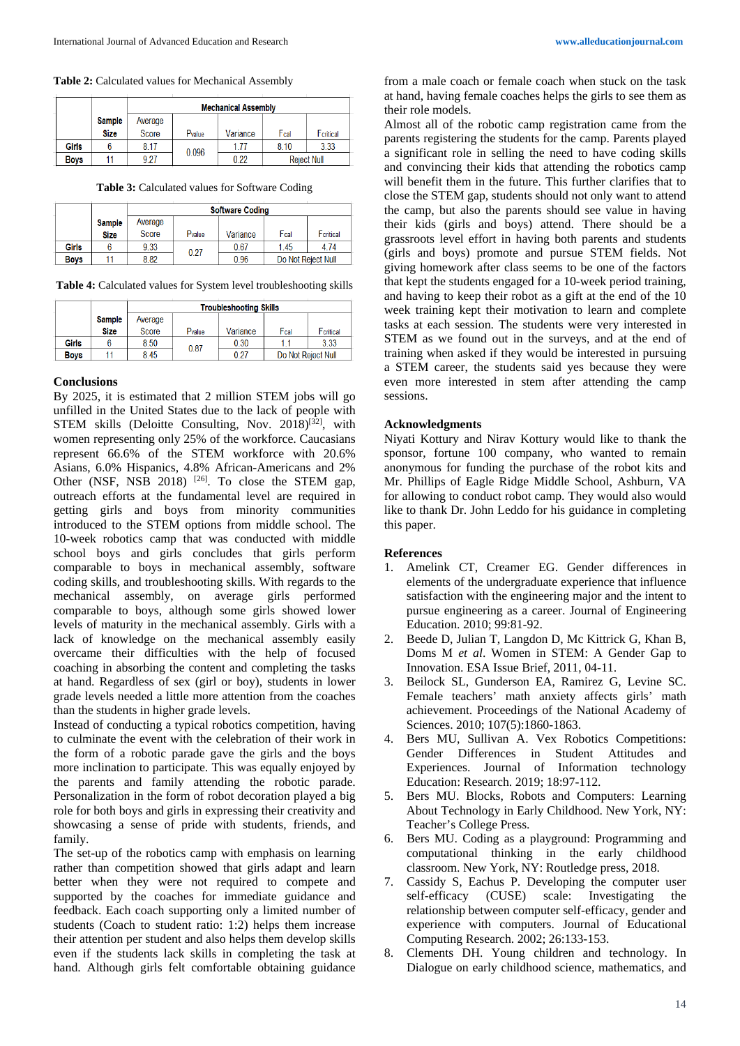**Table 2:** Calculated values for Mechanical Assembly

|              |               | <b>Mechanical Assembly</b> |        |          |                    |           |  |
|--------------|---------------|----------------------------|--------|----------|--------------------|-----------|--|
|              | <b>Sample</b> | Average                    |        |          |                    |           |  |
|              | <b>Size</b>   | Score                      | Pvalue | Variance | Fcal               | Fcritical |  |
| <b>Girls</b> |               | 8.17                       | 0.096  | 1 77     | 8.10               | 3.33      |  |
| <b>Boys</b>  | 11            | 9.27                       |        | 0.22     | <b>Reject Null</b> |           |  |

**Table 3:** Calculated values for Software Coding

|              |               | <b>Software Coding</b> |        |          |                    |           |
|--------------|---------------|------------------------|--------|----------|--------------------|-----------|
|              | <b>Sample</b> | Average                |        |          |                    |           |
|              | <b>Size</b>   | Score                  | Pvalue | Variance | Fcal               | Fcritical |
| <b>Girls</b> |               | 9.33                   | 0.27   | 0.67     | 1.45               | 4.74      |
| <b>Boys</b>  |               | 8.82                   |        | 0.96     | Do Not Reject Null |           |

**Table 4:** Calculated values for System level troubleshooting skills

|              |               | <b>Troubleshooting Skills</b> |        |          |                    |           |
|--------------|---------------|-------------------------------|--------|----------|--------------------|-----------|
|              | <b>Sample</b> | Average                       |        |          |                    |           |
|              | <b>Size</b>   | Score                         | Pvalue | Variance | Fcal               | Feritical |
| <b>Girls</b> |               | 8.50                          | 0.87   | 0.30     | 11                 | 3.33      |
| <b>Boys</b>  |               | 8.45                          |        | 0.27     | Do Not Reject Null |           |

# **Conclusions**

By 2025, it is estimated that 2 million STEM jobs will go unfilled in the United States due to the lack of people with STEM skills (Deloitte Consulting, Nov.  $2018$ <sup>[32]</sup>, with women representing only 25% of the workforce. Caucasians represent 66.6% of the STEM workforce with 20.6% Asians, 6.0% Hispanics, 4.8% African-Americans and 2% Other (NSF, NSB 2018)  $[26]$ . To close the STEM gap, outreach efforts at the fundamental level are required in getting girls and boys from minority communities introduced to the STEM options from middle school. The 10-week robotics camp that was conducted with middle school boys and girls concludes that girls perform comparable to boys in mechanical assembly, software coding skills, and troubleshooting skills. With regards to the mechanical assembly, on average girls performed comparable to boys, although some girls showed lower levels of maturity in the mechanical assembly. Girls with a lack of knowledge on the mechanical assembly easily overcame their difficulties with the help of focused coaching in absorbing the content and completing the tasks at hand. Regardless of sex (girl or boy), students in lower grade levels needed a little more attention from the coaches than the students in higher grade levels.

Instead of conducting a typical robotics competition, having to culminate the event with the celebration of their work in the form of a robotic parade gave the girls and the boys more inclination to participate. This was equally enjoyed by the parents and family attending the robotic parade. Personalization in the form of robot decoration played a big role for both boys and girls in expressing their creativity and showcasing a sense of pride with students, friends, and family.

The set-up of the robotics camp with emphasis on learning rather than competition showed that girls adapt and learn better when they were not required to compete and supported by the coaches for immediate guidance and feedback. Each coach supporting only a limited number of students (Coach to student ratio: 1:2) helps them increase their attention per student and also helps them develop skills even if the students lack skills in completing the task at hand. Although girls felt comfortable obtaining guidance from a male coach or female coach when stuck on the task at hand, having female coaches helps the girls to see them as their role models.

Almost all of the robotic camp registration came from the parents registering the students for the camp. Parents played a significant role in selling the need to have coding skills and convincing their kids that attending the robotics camp will benefit them in the future. This further clarifies that to close the STEM gap, students should not only want to attend the camp, but also the parents should see value in having their kids (girls and boys) attend. There should be a grassroots level effort in having both parents and students (girls and boys) promote and pursue STEM fields. Not giving homework after class seems to be one of the factors that kept the students engaged for a 10-week period training, and having to keep their robot as a gift at the end of the 10 week training kept their motivation to learn and complete tasks at each session. The students were very interested in STEM as we found out in the surveys, and at the end of training when asked if they would be interested in pursuing a STEM career, the students said yes because they were even more interested in stem after attending the camp sessions.

# **Acknowledgments**

Niyati Kottury and Nirav Kottury would like to thank the sponsor, fortune 100 company, who wanted to remain anonymous for funding the purchase of the robot kits and Mr. Phillips of Eagle Ridge Middle School, Ashburn, VA for allowing to conduct robot camp. They would also would like to thank Dr. John Leddo for his guidance in completing this paper.

# **References**

- 1. Amelink CT, Creamer EG. Gender differences in elements of the undergraduate experience that influence satisfaction with the engineering major and the intent to pursue engineering as a career. Journal of Engineering Education. 2010; 99:81-92.
- 2. Beede D, Julian T, Langdon D, Mc Kittrick G, Khan B, Doms M *et al*. Women in STEM: A Gender Gap to Innovation. ESA Issue Brief, 2011, 04-11.
- 3. Beilock SL, Gunderson EA, Ramirez G, Levine SC. Female teachers' math anxiety affects girls' math achievement. Proceedings of the National Academy of Sciences. 2010; 107(5):1860-1863.
- 4. Bers MU, Sullivan A. Vex Robotics Competitions: Gender Differences in Student Attitudes and Experiences. Journal of Information technology Education: Research. 2019; 18:97-112.
- 5. Bers MU. Blocks, Robots and Computers: Learning About Technology in Early Childhood. New York, NY: Teacher's College Press.
- 6. Bers MU. Coding as a playground: Programming and computational thinking in the early childhood classroom. New York, NY: Routledge press, 2018.
- 7. Cassidy S, Eachus P. Developing the computer user self-efficacy (CUSE) scale: Investigating the relationship between computer self-efficacy, gender and experience with computers. Journal of Educational Computing Research. 2002; 26:133-153.
- 8. Clements DH. Young children and technology. In Dialogue on early childhood science, mathematics, and